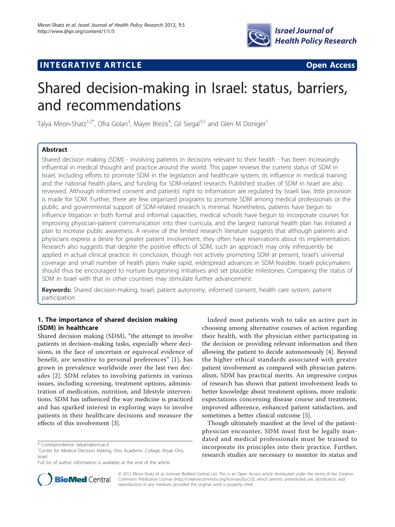

# **INTEGRATIVE ARTICLE Example 2018 CONSIDERED ACCESS**



# Shared decision-making in Israel: status, barriers, and recommendations

Talya Miron-Shatz<sup>1,2\*</sup>, Ofra Golan<sup>3</sup>, Mayer Brezis<sup>4</sup>, Gil Siegal<sup>3,5</sup> and Glen M Doniger<sup>1</sup>

# Abstract

Shared decision making (SDM) - involving patients in decisions relevant to their health - has been increasingly influential in medical thought and practice around the world. This paper reviews the current status of SDM in Israel, including efforts to promote SDM in the legislation and healthcare system, its influence in medical training and the national health plans, and funding for SDM-related research. Published studies of SDM in Israel are also reviewed. Although informed consent and patients' right to information are regulated by Israeli law, little provision is made for SDM. Further, there are few organized programs to promote SDM among medical professionals or the public, and governmental support of SDM-related research is minimal. Nonetheless, patients have begun to influence litigation in both formal and informal capacities, medical schools have begun to incorporate courses for improving physician-patient communication into their curricula, and the largest national health plan has initiated a plan to increase public awareness. A review of the limited research literature suggests that although patients and physicians express a desire for greater patient involvement, they often have reservations about its implementation. Research also suggests that despite the positive effects of SDM, such an approach may only infrequently be applied in actual clinical practice. In conclusion, though not actively promoting SDM at present, Israel's universal coverage and small number of health plans make rapid, widespread advances in SDM feasible. Israeli policymakers should thus be encouraged to nurture burgeoning initiatives and set plausible milestones. Comparing the status of SDM in Israel with that in other countries may stimulate further advancement.

Keywords: Shared decision-making, Israel, patient autonomy, informed consent, health care system, patient participation

# 1. The importance of shared decision making (SDM) in healthcare

Shared decision making (SDM), "the attempt to involve patients in decision-making tasks, especially where decisions, in the face of uncertain or equivocal evidence of benefit, are sensitive to personal preferences" [[1](#page-6-0)], has grown in prevalence worldwide over the last two decades [\[2\]](#page-6-0). SDM relates to involving patients in various issues, including screening, treatment options, administration of medication, nutrition, and lifestyle interventions. SDM has influenced the way medicine is practiced and has sparked interest in exploring ways to involve patients in their healthcare decisions and measure the effects of this involvement [\[3](#page-6-0)].

Indeed most patients wish to take an active part in choosing among alternative courses of action regarding their health, with the physician either participating in the decision or providing relevant information and then allowing the patient to decide autonomously [[4\]](#page-6-0). Beyond the higher ethical standards associated with greater patient involvement as compared with physician paternalism, SDM has practical merits. An impressive corpus of research has shown that patient involvement leads to better knowledge about treatment options, more realistic expectations concerning disease course and treatment, improved adherence, enhanced patient satisfaction, and sometimes a better clinical outcome [[5\]](#page-6-0).

Though ultimately manifest at the level of the patientphysician encounter, SDM must first be legally mandated and medical professionals must be trained to incorporate its principles into their practice. Further, research studies are necessary to monitor its status and



© 2012 Miron-Shatz et al; licensee BioMed Central Ltd. This is an Open Access article distributed under the terms of the Creative Commons Attribution License [\(http://creativecommons.org/licenses/by/2.0](http://creativecommons.org/licenses/by/2.0)), which permits unrestricted use, distribution, and reproduction in any medium, provided the original work is properly cited.

<sup>\*</sup> Correspondence: [talyam@ono.ac.il](mailto:talyam@ono.ac.il)

<sup>&</sup>lt;sup>1</sup>Center for Medical Decision Making, Ono Academic Collage, Kiryat Ono, Israel

Full list of author information is available at the end of the article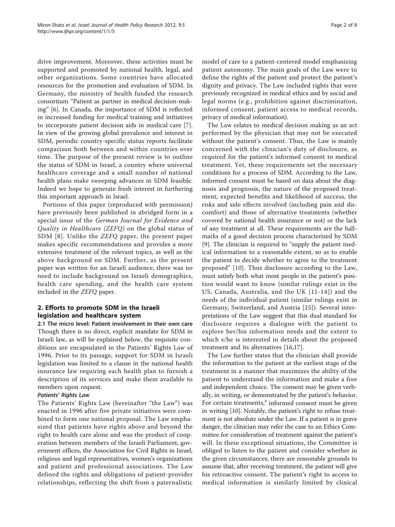drive improvement. Moreover, these activities must be supported and promoted by national health, legal, and other organizations. Some countries have allocated resources for the promotion and evaluation of SDM. In Germany, the ministry of health funded the research consortium ''Patient as partner in medical decision-making'' [\[6](#page-6-0)]. In Canada, the importance of SDM is reflected in increased funding for medical training and initiatives to incorporate patient decision aids in medical care [\[7](#page-6-0)]. In view of the growing global prevalence and interest in SDM, periodic country-specific status reports facilitate comparison both between and within countries over time. The purpose of the present review is to outline the status of SDM in Israel, a country where universal healthcare coverage and a small number of national health plans make sweeping advances in SDM feasible. Indeed we hope to generate fresh interest in furthering this important approach in Israel.

Portions of this paper (reproduced with permission) have previously been published in abridged form in a special issue of the German Journal for Evidence and Quality in Healthcare (ZEFQ) on the global status of SDM [[8\]](#page-6-0). Unlike the ZEFQ paper, the present paper makes specific recommendations and provides a more extensive treatment of the relevant topics, as well as the above background on SDM. Further, as the present paper was written for an Israeli audience, there was no need to include background on Israeli demographics, health care spending, and the health care system included in the ZEFQ paper.

# 2. Efforts to promote SDM in the Israeli legislation and healthcare system

2.1 The micro level: Patient involvement in their own care Though there is no direct, explicit mandate for SDM in Israeli law, as will be explained below, the requisite conditions are encapsulated in the Patients' Rights Law of 1996. Prior to its passage, support for SDM in Israeli legislation was limited to a clause in the national health insurance law requiring each health plan to furnish a description of its services and make them available to members upon request.

# Patients' Rights Law

The Patients' Rights Law (hereinafter "the Law") was enacted in 1996 after five private initiatives were combined to form one national proposal. The Law emphasized that patients have rights above and beyond the right to health care alone and was the product of cooperation between members of the Israeli Parliament, government offices, the Association for Civil Rights in Israel, religious and legal representatives, women's organizations and patient and professional associations. The Law defined the rights and obligations of patient-provider relationships, reflecting the shift from a paternalistic model of care to a patient-centered model emphasizing patient autonomy. The main goals of the Law were to define the rights of the patient and protect the patient's dignity and privacy. The Law included rights that were previously recognized in medical ethics and by social and legal norms (e.g., prohibition against discrimination, informed consent, patient access to medical records, privacy of medical information).

The Law relates to medical decision making as an act performed by the physician that may not be executed without the patient's consent. Thus, the Law is mainly concerned with the clinician's duty of disclosure, as required for the patient's informed consent to medical treatment. Yet, these requirements set the necessary conditions for a process of SDM. According to the Law, informed consent must be based on data about the diagnosis and prognosis, the nature of the proposed treatment, expected benefits and likelihood of success, the risks and side effects involved (including pain and discomfort) and those of alternative treatments (whether covered by national health insurance or not) or the lack of any treatment at all. These requirements are the hallmarks of a good decision process characterized by SDM [[9\]](#page-6-0). The clinician is required to "supply the patient medical information to a reasonable extent, so as to enable the patient to decide whether to agree to the treatment proposed" [[10\]](#page-6-0). Thus disclosure according to the Law, must satisfy both what most people in the patient's position would want to know (similar rulings exist in the US, Canada, Australia, and the UK [[11-14](#page-6-0)]) and the needs of the individual patient (similar rulings exist in Germany, Switzerland, and Austria [[15\]](#page-6-0)). Several interpretations of the Law suggest that this dual standard for disclosure requires a dialogue with the patient to explore her/his information needs and the extent to which s/he is interested in details about the proposed treatment and its alternatives [\[16,17\]](#page-6-0).

The Law further states that the clinician shall provide the information to the patient at the earliest stage of the treatment in a manner that maximizes the ability of the patient to understand the information and make a free and independent choice. The consent may be given verbally, in writing, or demonstrated by the patient's behavior. For certain treatments,<sup>a</sup> informed consent must be given in writing [[10\]](#page-6-0). Notably, the patient's right to refuse treatment is not absolute under the Law. If a patient is in grave danger, the clinician may refer the case to an Ethics Committee for consideration of treatment against the patient's will. In these exceptional situations, the Committee is obliged to listen to the patient and consider whether in the given circumstances, there are reasonable grounds to assume that, after receiving treatment, the patient will give his retroactive consent. The patient's right to access to medical information is similarly limited by clinical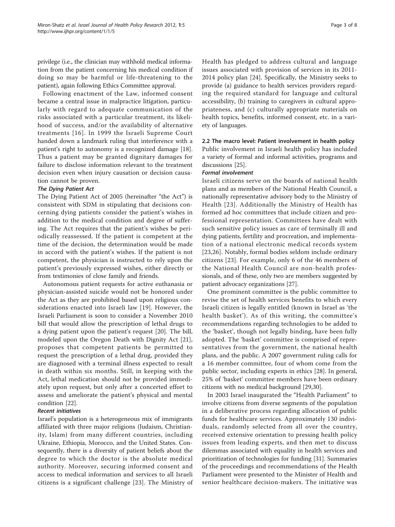privilege (i.e., the clinician may withhold medical information from the patient concerning his medical condition if doing so may be harmful or life-threatening to the patient), again following Ethics Committee approval.

Following enactment of the Law, informed consent became a central issue in malpractice litigation, particularly with regard to adequate communication of the risks associated with a particular treatment, its likelihood of success, and/or the availability of alternative treatments [[16](#page-6-0)]. In 1999 the Israeli Supreme Court handed down a landmark ruling that interference with a patient's right to autonomy is a recognized damage [\[18](#page-6-0)]. Thus a patient may be granted dignitary damages for failure to disclose information relevant to the treatment decision even when injury causation or decision causation cannot be proven.

#### The Dying Patient Act

The Dying Patient Act of 2005 (hereinafter "the Act") is consistent with SDM in stipulating that decisions concerning dying patients consider the patient's wishes in addition to the medical condition and degree of suffering. The Act requires that the patient's wishes be periodically reassessed. If the patient is competent at the time of the decision, the determination would be made in accord with the patient's wishes. If the patient is not competent, the physician is instructed to rely upon the patient's previously expressed wishes, either directly or from testimonies of close family and friends.

Autonomous patient requests for active euthanasia or physician-assisted suicide would not be honored under the Act as they are prohibited based upon religious considerations enacted into Israeli law [[19](#page-6-0)]. However, the Israeli Parliament is soon to consider a November 2010 bill that would allow the prescription of lethal drugs to a dying patient upon the patient's request [\[20](#page-6-0)]. The bill, modeled upon the Oregon Death with Dignity Act [\[21](#page-6-0)], proposes that competent patients be permitted to request the prescription of a lethal drug, provided they are diagnosed with a terminal illness expected to result in death within six months. Still, in keeping with the Act, lethal medication should not be provided immediately upon request, but only after a concerted effort to assess and ameliorate the patient's physical and mental condition [[22\]](#page-6-0).

# Recent initiatives

Israel's population is a heterogeneous mix of immigrants affiliated with three major religions (Judaism, Christianity, Islam) from many different countries, including Ukraine, Ethiopia, Morocco, and the United States. Consequently, there is a diversity of patient beliefs about the degree to which the doctor is the absolute medical authority. Moreover, securing informed consent and access to medical information and services to all Israeli citizens is a significant challenge [[23\]](#page-6-0). The Ministry of Health has pledged to address cultural and language issues associated with provision of services in its 2011- 2014 policy plan [\[24](#page-6-0)]. Specifically, the Ministry seeks to provide (a) guidance to health services providers regarding the required standard for language and cultural accessibility, (b) training to caregivers in cultural appropriateness, and (c) culturally appropriate materials on health topics, benefits, informed consent, etc. in a variety of languages.

#### 2.2 The macro level: Patient involvement in health policy

Public involvement in Israeli health policy has included a variety of formal and informal activities, programs and discussions [[25](#page-6-0)].

#### Formal involvement

Israeli citizens serve on the boards of national health plans and as members of the National Health Council, a nationally representative advisory body to the Ministry of Health [[23](#page-6-0)]. Additionally the Ministry of Health has formed ad hoc committees that include citizen and professional representation. Committees have dealt with such sensitive policy issues as care of terminally ill and dying patients, fertility and procreation, and implementation of a national electronic medical records system [[23,26](#page-6-0)]. Notably, formal bodies seldom include ordinary citizens [[23\]](#page-6-0). For example, only 6 of the 46 members of the National Health Council are non-health professionals, and of these, only two are members suggested by patient advocacy organizations [\[27\]](#page-6-0).

One prominent committee is the public committee to revise the set of health services benefits to which every Israeli citizen is legally entitled (known in Israel as 'the health basket'). As of this writing, the committee's recommendations regarding technologies to be added to the 'basket', though not legally binding, have been fully adopted. The 'basket' committee is comprised of representatives from the government, the national health plans, and the public. A 2007 government ruling calls for a 16 member committee, four of whom come from the public sector, including experts in ethics [[28\]](#page-6-0). In general, 25% of 'basket' committee members have been ordinary citizens with no medical background [[29](#page-6-0),[30](#page-6-0)].

In 2003 Israel inaugurated the "Health Parliament" to involve citizens from diverse segments of the population in a deliberative process regarding allocation of public funds for healthcare services. Approximately 130 individuals, randomly selected from all over the country, received extensive orientation to pressing health policy issues from leading experts, and then met to discuss dilemmas associated with equality in health services and prioritization of technologies for funding [[31](#page-6-0)]. Summaries of the proceedings and recommendations of the Health Parliament were presented to the Minister of Health and senior healthcare decision-makers. The initiative was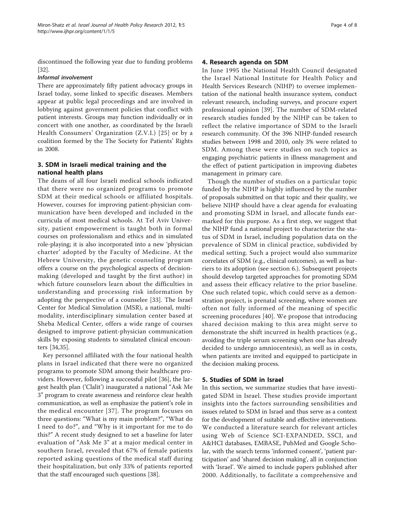discontinued the following year due to funding problems [[32](#page-6-0)].

# Informal involvement

There are approximately fifty patient advocacy groups in Israel today, some linked to specific diseases. Members appear at public legal proceedings and are involved in lobbying against government policies that conflict with patient interests. Groups may function individually or in concert with one another, as coordinated by the Israeli Health Consumers' Organization (Z.V.I.) [[25\]](#page-6-0) or by a coalition formed by the The Society for Patients' Rights in 2008.

# 3. SDM in Israeli medical training and the national health plans

The deans of all four Israeli medical schools indicated that there were no organized programs to promote SDM at their medical schools or affiliated hospitals. However, courses for improving patient-physician communication have been developed and included in the curricula of most medical schools. At Tel Aviv University, patient empowerment is taught both in formal courses on professionalism and ethics and in simulated role-playing; it is also incorporated into a new 'physician charter' adopted by the Faculty of Medicine. At the Hebrew University, the genetic counseling program offers a course on the psychological aspects of decisionmaking (developed and taught by the first author) in which future counselors learn about the difficulties in understanding and processing risk information by adopting the perspective of a counselee [\[33](#page-6-0)]. The Israel Center for Medical Simulation (MSR), a national, multimodality, interdisciplinary simulation center based at Sheba Medical Center, offers a wide range of courses designed to improve patient-physician communication skills by exposing students to simulated clinical encounters [\[34,](#page-6-0)[35\]](#page-7-0).

Key personnel affiliated with the four national health plans in Israel indicated that there were no organized programs to promote SDM among their healthcare providers. However, following a successful pilot [[36\]](#page-7-0), the largest health plan ('Clalit') inaugurated a national "Ask Me 3" program to create awareness and reinforce clear health communication, as well as emphasize the patient's role in the medical encounter [[37\]](#page-7-0). The program focuses on three questions: "What is my main problem?", "What do I need to do?", and "Why is it important for me to do this?" A recent study designed to set a baseline for later evaluation of "Ask Me 3" at a major medical center in southern Israel, revealed that 67% of female patients reported asking questions of the medical staff during their hospitalization, but only 33% of patients reported that the staff encouraged such questions [\[38\]](#page-7-0).

#### 4. Research agenda on SDM

In June 1995 the National Health Council designated the Israel National Institute for Health Policy and Health Services Research (NIHP) to oversee implementation of the national health insurance system, conduct relevant research, including surveys, and procure expert professional opinion [[39\]](#page-7-0). The number of SDM-related research studies funded by the NIHP can be taken to reflect the relative importance of SDM to the Israeli research community. Of the 396 NIHP-funded research studies between 1998 and 2010, only 3% were related to SDM. Among these were studies on such topics as engaging psychiatric patients in illness management and the effect of patient participation in improving diabetes management in primary care.

Though the number of studies on a particular topic funded by the NIHP is highly influenced by the number of proposals submitted on that topic and their quality, we believe NIHP should have a clear agenda for evaluating and promoting SDM in Israel, and allocate funds earmarked for this purpose. As a first step, we suggest that the NIHP fund a national project to characterize the status of SDM in Israel, including population data on the prevalence of SDM in clinical practice, subdivided by medical setting. Such a project would also summarize correlates of SDM (e.g., clinical outcomes), as well as barriers to its adoption (see section 6.). Subsequent projects should develop targeted approaches for promoting SDM and assess their efficacy relative to the prior baseline. One such related topic, which could serve as a demonstration project, is prenatal screening, where women are often not fully informed of the meaning of specific screening procedures [\[40](#page-7-0)]. We propose that introducing shared decision making to this area might serve to demonstrate the shift incurred in health practices (e.g., avoiding the triple serum screening when one has already decided to undergo amniocentesis), as well as in costs, when patients are invited and equipped to participate in the decision making process.

# 5. Studies of SDM in Israel

In this section, we summarize studies that have investigated SDM in Israel. These studies provide important insights into the factors surrounding sensibilities and issues related to SDM in Israel and thus serve as a context for the development of suitable and effective interventions. We conducted a literature search for relevant articles using Web of Science SCI-EXPANDED, SSCI, and A&HCI databases, EMBASE, PubMed and Google Scholar, with the search terms 'informed consent', 'patient participation' and 'shared decision making', all in conjunction with 'Israel'. We aimed to include papers published after 2000. Additionally, to facilitate a comprehensive and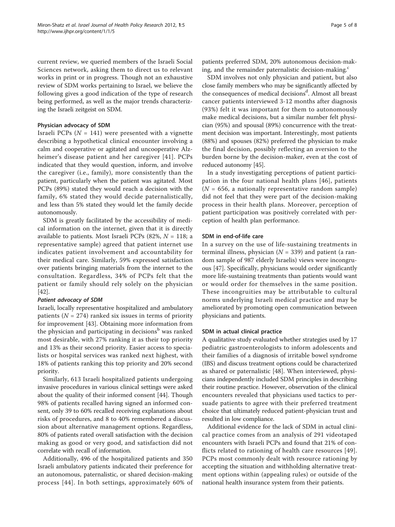current review, we queried members of the Israeli Social Sciences network, asking them to direct us to relevant works in print or in progress. Though not an exhaustive review of SDM works pertaining to Israel, we believe the following gives a good indication of the type of research being performed, as well as the major trends characterizing the Israeli zeitgeist on SDM.

#### Physician advocacy of SDM

Israeli PCPs ( $N = 141$ ) were presented with a vignette describing a hypothetical clinical encounter involving a calm and cooperative or agitated and uncooperative Alzheimer's disease patient and her caregiver [\[41\]](#page-7-0). PCPs indicated that they would question, inform, and involve the caregiver (i.e., family), more consistently than the patient, particularly when the patient was agitated. Most PCPs (89%) stated they would reach a decision with the family, 6% stated they would decide paternalistically, and less than 5% stated they would let the family decide autonomously.

SDM is greatly facilitated by the accessibility of medical information on the internet, given that it is directly available to patients. Most Israeli PCPs  $(82\%, N = 118; a$ representative sample) agreed that patient internet use indicates patient involvement and accountability for their medical care. Similarly, 59% expressed satisfaction over patients bringing materials from the internet to the consultation. Regardless, 34% of PCPs felt that the patient or family should rely solely on the physician [[42\]](#page-7-0).

#### Patient advocacy of SDM

Israeli, locally representative hospitalized and ambulatory patients ( $N = 274$ ) ranked six issues in terms of priority for improvement [\[43](#page-7-0)]. Obtaining more information from the physician and participating in decisions<sup>b</sup> was ranked most desirable, with 27% ranking it as their top priority and 13% as their second priority. Easier access to specialists or hospital services was ranked next highest, with 18% of patients ranking this top priority and 20% second priority.

Similarly, 613 Israeli hospitalized patients undergoing invasive procedures in various clinical settings were asked about the quality of their informed consent [\[44\]](#page-7-0). Though 98% of patients recalled having signed an informed consent, only 39 to 60% recalled receiving explanations about risks of procedures, and 8 to 40% remembered a discussion about alternative management options. Regardless, 80% of patients rated overall satisfaction with the decision making as good or very good, and satisfaction did not correlate with recall of information.

Additionally, 496 of the hospitalized patients and 350 Israeli ambulatory patients indicated their preference for an autonomous, paternalistic, or shared decision-making process [[44](#page-7-0)]. In both settings, approximately 60% of

patients preferred SDM, 20% autonomous decision-making, and the remainder paternalistic decision-making. $c$ 

SDM involves not only physician and patient, but also close family members who may be significantly affected by the consequences of medical decisions<sup>d</sup>. Almost all breast cancer patients interviewed 3-12 months after diagnosis (93%) felt it was important for them to autonomously make medical decisions, but a similar number felt physician (95%) and spousal (89%) concurrence with the treatment decision was important. Interestingly, most patients (88%) and spouses (82%) preferred the physician to make the final decision, possibly reflecting an aversion to the burden borne by the decision-maker, even at the cost of reduced autonomy [\[45\]](#page-7-0).

In a study investigating perceptions of patient participation in the four national health plans [[46](#page-7-0)], patients  $(N = 656, a$  nationally representative random sample) did not feel that they were part of the decision-making process in their health plans. Moreover, perception of patient participation was positively correlated with perception of health plan performance.

#### SDM in end-of-life care

In a survey on the use of life-sustaining treatments in terminal illness, physician ( $N = 339$ ) and patient (a random sample of 987 elderly Israelis) views were incongruous [[47\]](#page-7-0). Specifically, physicians would order significantly more life-sustaining treatments than patients would want or would order for themselves in the same position. These incongruities may be attributable to cultural norms underlying Israeli medical practice and may be ameliorated by promoting open communication between physicians and patients.

# SDM in actual clinical practice

A qualitative study evaluated whether strategies used by 17 pediatric gastroenterologists to inform adolescents and their families of a diagnosis of irritable bowel syndrome (IBS) and discuss treatment options could be characterized as shared or paternalistic [\[48](#page-7-0)]. When interviewed, physicians independently included SDM principles in describing their routine practice. However, observation of the clinical encounters revealed that physicians used tactics to persuade patients to agree with their preferred treatment choice that ultimately reduced patient-physician trust and resulted in low compliance.

Additional evidence for the lack of SDM in actual clinical practice comes from an analysis of 291 videotaped encounters with Israeli PCPs and found that 21% of conflicts related to rationing of health care resources [[49](#page-7-0)]. PCPs most commonly dealt with resource rationing by accepting the situation and withholding alternative treatment options within (appealing rules) or outside of the national health insurance system from their patients.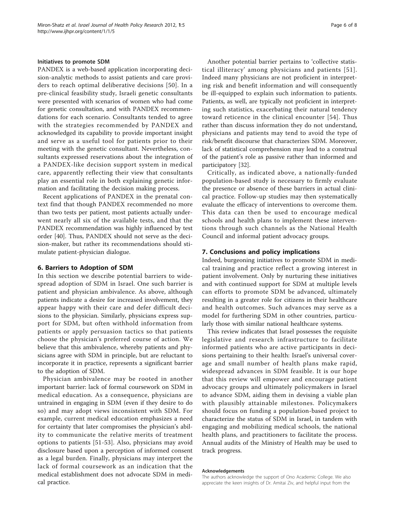#### Initiatives to promote SDM

PANDEX is a web-based application incorporating decision-analytic methods to assist patients and care providers to reach optimal deliberative decisions [[50\]](#page-7-0). In a pre-clinical feasibility study, Israeli genetic consultants were presented with scenarios of women who had come for genetic consultation, and with PANDEX recommendations for each scenario. Consultants tended to agree with the strategies recommended by PANDEX and acknowledged its capability to provide important insight and serve as a useful tool for patients prior to their meeting with the genetic consultant. Nevertheless, consultants expressed reservations about the integration of a PANDEX-like decision support system in medical care, apparently reflecting their view that consultants play an essential role in both explaining genetic information and facilitating the decision making process.

Recent applications of PANDEX in the prenatal context find that though PANDEX recommended no more than two tests per patient, most patients actually underwent nearly all six of the available tests, and that the PANDEX recommendation was highly influenced by test order [\[40\]](#page-7-0). Thus, PANDEX should not serve as the decision-maker, but rather its recommendations should stimulate patient-physician dialogue.

#### 6. Barriers to Adoption of SDM

In this section we describe potential barriers to widespread adoption of SDM in Israel. One such barrier is patient and physician ambivalence. As above, although patients indicate a desire for increased involvement, they appear happy with their care and defer difficult decisions to the physician. Similarly, physicians express support for SDM, but often withhold information from patients or apply persuasion tactics so that patients choose the physician's preferred course of action. We believe that this ambivalence, whereby patients and physicians agree with SDM in principle, but are reluctant to incorporate it in practice, represents a significant barrier to the adoption of SDM.

Physician ambivalence may be rooted in another important barrier: lack of formal coursework on SDM in medical education. As a consequence, physicians are untrained in engaging in SDM (even if they desire to do so) and may adopt views inconsistent with SDM. For example, current medical education emphasizes a need for certainty that later compromises the physician's ability to communicate the relative merits of treatment options to patients [\[51-53](#page-7-0)]. Also, physicians may avoid disclosure based upon a perception of informed consent as a legal burden. Finally, physicians may interpret the lack of formal coursework as an indication that the medical establishment does not advocate SDM in medical practice.

Another potential barrier pertains to 'collective statistical illiteracy' among physicians and patients [[51\]](#page-7-0). Indeed many physicians are not proficient in interpreting risk and benefit information and will consequently be ill-equipped to explain such information to patients. Patients, as well, are typically not proficient in interpreting such statistics, exacerbating their natural tendency toward reticence in the clinical encounter [[54](#page-7-0)]. Thus rather than discuss information they do not understand, physicians and patients may tend to avoid the type of risk/benefit discourse that characterizes SDM. Moreover, lack of statistical comprehension may lead to a construal of the patient's role as passive rather than informed and participatory [[32\]](#page-6-0).

Critically, as indicated above, a nationally-funded population-based study is necessary to firmly evaluate the presence or absence of these barriers in actual clinical practice. Follow-up studies may then systematically evaluate the efficacy of interventions to overcome them. This data can then be used to encourage medical schools and health plans to implement these interventions through such channels as the National Health Council and informal patient advocacy groups.

#### 7. Conclusions and policy implications

Indeed, burgeoning initiatives to promote SDM in medical training and practice reflect a growing interest in patient involvement. Only by nurturing these initiatives and with continued support for SDM at multiple levels can efforts to promote SDM be advanced, ultimately resulting in a greater role for citizens in their healthcare and health outcomes. Such advances may serve as a model for furthering SDM in other countries, particularly those with similar national healthcare systems.

This review indicates that Israel possesses the requisite legislative and research infrastructure to facilitate informed patients who are active participants in decisions pertaining to their health: Israel's universal coverage and small number of health plans make rapid, widespread advances in SDM feasible. It is our hope that this review will empower and encourage patient advocacy groups and ultimately policymakers in Israel to advance SDM, aiding them in devising a viable plan with plausibly attainable milestones. Policymakers should focus on funding a population-based project to characterize the status of SDM in Israel, in tandem with engaging and mobilizing medical schools, the national health plans, and practitioners to facilitate the process. Annual audits of the Ministry of Health may be used to track progress.

#### Acknowledgements

The authors acknowledge the support of Ono Academic College. We also appreciate the keen insights of Dr. Amitai Ziv, and helpful input from the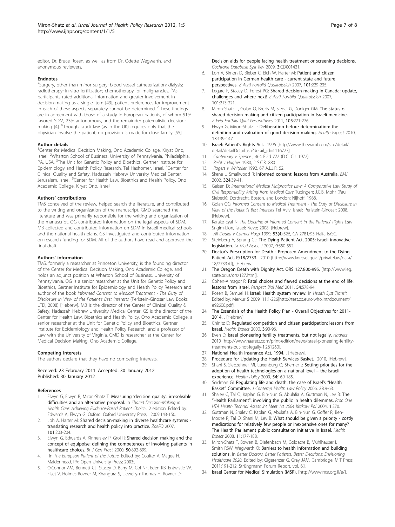<span id="page-6-0"></span>editor, Dr. Bruce Rosen, as well as from Dr. Odette Wegwarth, and anonymous reviewers.

#### Endnotes

aSurgery, other than minor surgery; blood vessel catheterization; dialysis; radiotherapy; in-vitro fertilization; chemotherapy for malignancies. <sup>b</sup>As participants rated additional information and greater involvement in decision-making as a single item [\[43\]](#page-7-0), patient preferences for improvement in each of these aspects separately cannot be determined. <sup>c</sup>These findings are in agreement with those of a study in European patients, of whom 51% favored SDM, 23% autonomous, and the remainder paternalistic decisionmaking [4]. <sup>d</sup>Though Israeli law (as in the UK) requires only that the physician involve the patient; no provision is made for close family [[55](#page-7-0)].

#### Author details

<sup>1</sup>Center for Medical Decision Making, Ono Academic Collage, Kiryat Ono, Israel. <sup>2</sup>Wharton School of Business, University of Pennsylvania, Philadelphia, PA, USA. <sup>3</sup>The Unit for Genetic Policy and Bioethics, Gertner Institute for Epidemiology and Health Policy Research, Tel Hashomer, Israel. <sup>4</sup>Center for Clinical Quality and Safety, Hadassah Hebrew University Medical Center, Jerusalem, Israel. <sup>5</sup>Center for Health Law, Bioethics and Health Policy, Ono Academic College, Kiryat Ono, Israel.

#### Authors' contributions

TMS conceived of the review, helped search the literature, and contributed to the writing and organization of the manuscript. GMD searched the literature and was primarily responsible for the writing and organization of the manuscript. OG contributed information on the legal aspects of SDM. MB collected and contributed information on SDM in Israeli medical schools and the national health plans. GS investigated and contributed information on research funding for SDM. All of the authors have read and approved the final draft.

#### Authors' information

TMS, formerly a researcher at Princeton University, is the founding director of the Center for Medical Decision Making, Ono Academic College, and holds an adjunct position at Wharton School of Business, University of Pennsylvania. OG is a senior researcher at the Unit for Genetic Policy and Bioethics, Gertner Institute for Epidemiology and Health Policy Research and author of the book Informed Consent to Medical Treatment - The Duty of Disclosure in View of the Patient's Best Interests (Perlstein-Ginosar Law Books LTD, 2008) [Hebrew]. MB is the director of the Center of Clinical Quality & Safety, Hadassah Hebrew University Medical Center. GS is the director of the Center for Health Law, Bioethics and Health Policy, Ono Academic College, a senior researcher at the Unit for Genetic Policy and Bioethics, Gertner Institute for Epidemiology and Health Policy Research, and a professor of Law with the University of Virginia. GMD is researcher at the Center for Medical Decision Making, Ono Academic College.

#### Competing interests

The authors declare that they have no competing interests.

Received: 23 February 2011 Accepted: 30 January 2012 Published: 30 January 2012

#### References

- Elwyn G, Elwyn B, Miron-Shatz T: Measuring 'decision quality': irresolvable difficulties and an alternative proposal. In Shared Decision-Making in Health Care: Achieving Evidence-Based Patient Choice.. 2 edition. Edited by: Edwards A, Elwyn G. Oxford: Oxford University Press; 2009:143-150.
- 2. Loh A, Harter M: Shared decision-making in diverse healthcare systems translating research and health policy into practice. ZaeFQ 2007, 101:203-204.
- 3. Elwyn G, Edwards A, Kinnersley P, Grol R: [Shared decision making and the](http://www.ncbi.nlm.nih.gov/pubmed/11141876?dopt=Abstract) [concept of equipoise: defining the competences of involving patients in](http://www.ncbi.nlm.nih.gov/pubmed/11141876?dopt=Abstract) [healthcare choices.](http://www.ncbi.nlm.nih.gov/pubmed/11141876?dopt=Abstract) Br J Gen Pract 2000, 50:892-899.
- 4. In The European Patient of the Future. Edited by: Coulter A, Magee H. Maidenhead, PA: Open University Press; 2003:.
- 5. O'Connor AM, Bennett CL, Stacey D, Barry M, Col NF, Eden KB, Entwistle VA, Fiset V, Holmes-Rovner M, Khangura S, Llewellyn-Thomas H, Rovner D:

[Decision aids for people facing health treatment or screening decisions.](http://www.ncbi.nlm.nih.gov/pubmed/19588325?dopt=Abstract) Cochrane Database Syst Rev 2009, 3:CD001431.

- 6. Loh A, Simon D, Bieber C, Eich W, Harter M: [Patient and citizen](http://www.ncbi.nlm.nih.gov/pubmed/17601177?dopt=Abstract) [participation in German health care - current state and future](http://www.ncbi.nlm.nih.gov/pubmed/17601177?dopt=Abstract) [perspectives.](http://www.ncbi.nlm.nih.gov/pubmed/17601177?dopt=Abstract) Z Arztl Fortbild Qualitatssich 2007, 101:229-235.
- 7. Legare F, Stacey D, Forest PG: [Shared decision-making in Canada: update,](http://www.ncbi.nlm.nih.gov/pubmed/17601175?dopt=Abstract) [challenges and where next!](http://www.ncbi.nlm.nih.gov/pubmed/17601175?dopt=Abstract) Z Arztl Fortbild Qualitatssich 2007, 101:213-221.
- Miron-Shatz T, Golan O, Brezis M, Siegal G, Doniger GM: [The status of](http://www.ncbi.nlm.nih.gov/pubmed/21620320?dopt=Abstract) [shared decision making and citizen participation in Israeli medicine.](http://www.ncbi.nlm.nih.gov/pubmed/21620320?dopt=Abstract) Z Evid Fortbild Qual Gesundhwes 2011, 105:271-276.
- 9. Elwyn G, Miron-Shatz T: [Deliberation before determination: the](http://www.ncbi.nlm.nih.gov/pubmed/19740089?dopt=Abstract) [definition and evaluation of good decision making.](http://www.ncbi.nlm.nih.gov/pubmed/19740089?dopt=Abstract) Health Expect 2010, 13:139-147.
- 10. Israel: Patient's Rights Act. 1996 [[http://www.thewaml.com/site/detail/](http://www.thewaml.com/site/detail/detail/detailDetail.asp?detail_id=1116723) [detail/detailDetail.asp?detail\\_id=1116723](http://www.thewaml.com/site/detail/detail/detailDetail.asp?detail_id=1116723)].
- 11. Canterbury v Spence , 464 F.2d 772 (D.C. Cir. 1972).
- 12. Reibl v Hughes 1980, 2 S.C.R. 880.
- 13. Rogers v Whitaker 1992, 67 A.L.J.R. 52.
- 14. Skene L, Smallwood R: [Informed consent: lessons from Australia.](http://www.ncbi.nlm.nih.gov/pubmed/11777808?dopt=Abstract) BMJ 2002, 324:39-41.
- 15. Geisen D: International Medical Malpractice Law: A Comparative Law Study of Civil Responsibility Arising from Medical Care Tubingen: J.C.B. Mohr (Paul Siebeck); Dordrecht, Boston, and London: Nijhoff; 1988.
- 16. Golan OG: Informed Consent to Medical Treatment The Duty of Disclosure in View of the Patient's Best Interests Tel Aviv, Israel: Perlstein-Ginosar; 2008, [Hebrew].
- 17. Karako-Eyal N: The Doctrine of Informed Consent in the Patients' Rights Law Srigim-Lion, Israel: Nevo; 2008, [Hebrew].
- 18. Ali Daaka v Carmel Hosp 1999, 53(4):526, CA 2781/93 Haifa IsrSC.
- 19. Steinberg A, Sprung CL: [The Dying Patient Act, 2005: Israeli innovative](http://www.ncbi.nlm.nih.gov/pubmed/17710789?dopt=Abstract) [legislation.](http://www.ncbi.nlm.nih.gov/pubmed/17710789?dopt=Abstract) Isr Med Assoc J 2007, 9:550-552.
- 20. Doctor's Prescription for Death Proposed Amendment to the Dying Patient Act, P/18/2733. 2010 [[http://www.knesset.gov.il/privatelaw/data/](http://www.knesset.gov.il/privatelaw/data/18/2733.rtf) [18/2733.rtf\]](http://www.knesset.gov.il/privatelaw/data/18/2733.rtf), [Hebrew].
- 21. The Oregon Death with Dignity Act. ORS 127.800-995. [[http://www.leg.](http://www.leg.state.or.us/ors/127.html) [state.or.us/ors/127.html](http://www.leg.state.or.us/ors/127.html)].
- 22. Cohen-Almagor R: [Fatal choices and flawed decisions at the end of life:](http://www.ncbi.nlm.nih.gov/pubmed/22019541?dopt=Abstract) [lessons from Israel.](http://www.ncbi.nlm.nih.gov/pubmed/22019541?dopt=Abstract) Perspect Biol Med 2011, 54:578-94.
- 23. Rosen B, Samuel H: Israel: Health system review. In Health Syst Transit Edited by: Merkur S 2009, 11:1-226[\[http://test.cp.euro.who.int/document/](http://test.cp.euro.who.int/document/e92608.pdf) [e92608.pdf\]](http://test.cp.euro.who.int/document/e92608.pdf).
- 24. The Essentials of the Health Policy Plan Overall Objectives for 2011- 2014. , [Hebrew].
- 25. Chinitz D: [Regulated competition and citizen participation: lessons from](http://www.ncbi.nlm.nih.gov/pubmed/11281916?dopt=Abstract) [Israel.](http://www.ncbi.nlm.nih.gov/pubmed/11281916?dopt=Abstract) Health Expect 2000, 3:90-96.
- 26. Even D: Israel pioneering fertility treatments, but not legally. Haaretz 2010 [\[http://www.haaretz.com/print-edition/news/israel-pioneering-fertility](http://www.haaretz.com/print-edition/news/israel-pioneering-fertility-treatments-but-not-legally-1.261260)[treatments-but-not-legally-1.261260\]](http://www.haaretz.com/print-edition/news/israel-pioneering-fertility-treatments-but-not-legally-1.261260).
- 27. National Health Insurance Act, 1994. , [Hebrew].
- 28. Procedure for Updating the Health Services Basket. 2010, [Hebrew].
- 29. Shani S, Siebzehner MI, Luxenburg O, Shemer J: [Setting priorities for the](http://www.ncbi.nlm.nih.gov/pubmed/11154787?dopt=Abstract) [adoption of health technologies on a national level](http://www.ncbi.nlm.nih.gov/pubmed/11154787?dopt=Abstract) – the Israeli [experience.](http://www.ncbi.nlm.nih.gov/pubmed/11154787?dopt=Abstract) Health Policy 2000, 54:169-185.
- 30. Seidman GI: [Regulating life and death: the case of Israel](http://www.ncbi.nlm.nih.gov/pubmed/17405243?dopt=Abstract)'s "Health Basket" [Committee.](http://www.ncbi.nlm.nih.gov/pubmed/17405243?dopt=Abstract) J Contemp Health Law Policy 2006, 23:9-63.
- 31. Shalev C, Tal O, Kaplan G, Bin-Nun G, Abulafia A, Guttman N, Lev B: The "Health Parliament": involving the public in health dilemmas. Proc One HTA Health Technol Assess Int Meet 1st 2004 Krakow Pol 2004, 1:270.
- 32. Guttman N, Shalev C, Kaplan G, Abulafia A, Bin-Nun G, Goffer R, Ben-Moshe R, Tal O, Shani M, Lev B: [What should be given a priority - costly](http://www.ncbi.nlm.nih.gov/pubmed/18429997?dopt=Abstract) [medications for relatively few people or inexpensive ones for many?](http://www.ncbi.nlm.nih.gov/pubmed/18429997?dopt=Abstract) [The Health Parliament public consultation initiative in Israel.](http://www.ncbi.nlm.nih.gov/pubmed/18429997?dopt=Abstract) Health Expect 2008, 11:177-188.
- 33. Miron-Shatz T, Bowen B, Diefenbach M, Goldacre B, Mühlhauser I, Smith RSW, Wegwarth O: Barriers to health information and building solutions. In Better Doctors, Better Patients, Better Decisions: Envisioning Healthcare 2020. Edited by: Gigerenzer G, Gray JAM. Cambridge: MIT Press; 2011:191-212, Strüngmann Forum Report, vol. 6.].
- 34. Israel Center for Medical Simulation (MSR). [[http://www.msr.org.il/e/\]](http://www.msr.org.il/e/).